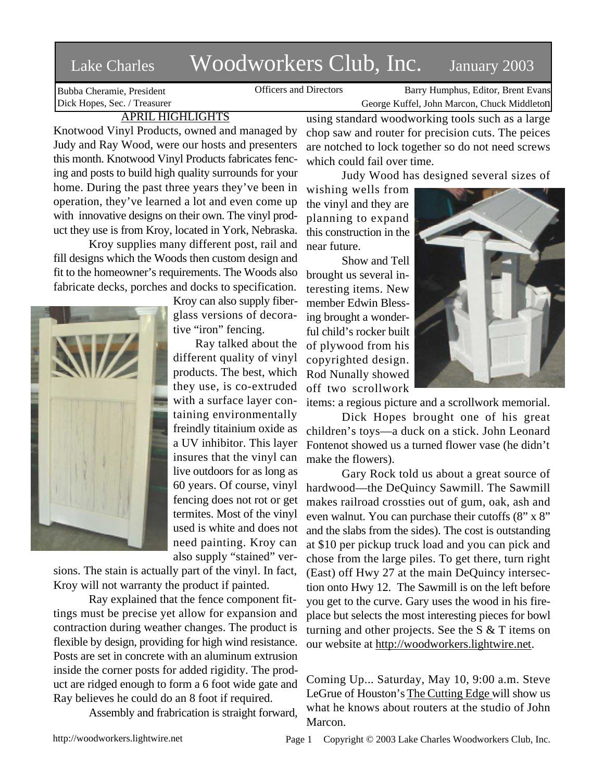# Lake Charles Woodworkers Club, Inc. January 2003

Bubba Cheramie, President Dick Hopes, Sec. / Treasurer

Officers and Directors Barry Humphus, Editor, Brent Evans George Kuffel, John Marcon, Chuck Middleton

# APRIL HIGHLIGHTS

Knotwood Vinyl Products, owned and managed by Judy and Ray Wood, were our hosts and presenters this month. Knotwood Vinyl Products fabricates fencing and posts to build high quality surrounds for your home. During the past three years they've been in operation, they've learned a lot and even come up with innovative designs on their own. The vinyl product they use is from Kroy, located in York, Nebraska.

Kroy supplies many different post, rail and fill designs which the Woods then custom design and fit to the homeowner's requirements. The Woods also fabricate decks, porches and docks to specification.



Kroy can also supply fiberglass versions of decorative "iron" fencing.

Ray talked about the different quality of vinyl products. The best, which they use, is co-extruded with a surface layer containing environmentally freindly titainium oxide as a UV inhibitor. This layer insures that the vinyl can live outdoors for as long as 60 years. Of course, vinyl fencing does not rot or get termites. Most of the vinyl used is white and does not need painting. Kroy can also supply "stained" ver-

sions. The stain is actually part of the vinyl. In fact, Kroy will not warranty the product if painted.

Ray explained that the fence component fittings must be precise yet allow for expansion and contraction during weather changes. The product is flexible by design, providing for high wind resistance. Posts are set in concrete with an aluminum extrusion inside the corner posts for added rigidity. The product are ridged enough to form a 6 foot wide gate and Ray believes he could do an 8 foot if required.

Assembly and frabrication is straight forward,

using standard woodworking tools such as a large chop saw and router for precision cuts. The peices are notched to lock together so do not need screws which could fail over time.

Judy Wood has designed several sizes of

wishing wells from the vinyl and they are planning to expand this construction in the near future.

Show and Tell brought us several interesting items. New member Edwin Blessing brought a wonderful child's rocker built of plywood from his copyrighted design. Rod Nunally showed off two scrollwork



items: a regious picture and a scrollwork memorial.

Dick Hopes brought one of his great children's toys—a duck on a stick. John Leonard Fontenot showed us a turned flower vase (he didn't make the flowers).

Gary Rock told us about a great source of hardwood—the DeQuincy Sawmill. The Sawmill makes railroad crossties out of gum, oak, ash and even walnut. You can purchase their cutoffs (8" x 8" and the slabs from the sides). The cost is outstanding at \$10 per pickup truck load and you can pick and chose from the large piles. To get there, turn right (East) off Hwy 27 at the main DeQuincy intersection onto Hwy 12. The Sawmill is on the left before you get to the curve. Gary uses the wood in his fireplace but selects the most interesting pieces for bowl turning and other projects. See the S & T items on our website at http://woodworkers.lightwire.net.

Coming Up... Saturday, May 10, 9:00 a.m. Steve LeGrue of Houston's The Cutting Edge will show us what he knows about routers at the studio of John Marcon.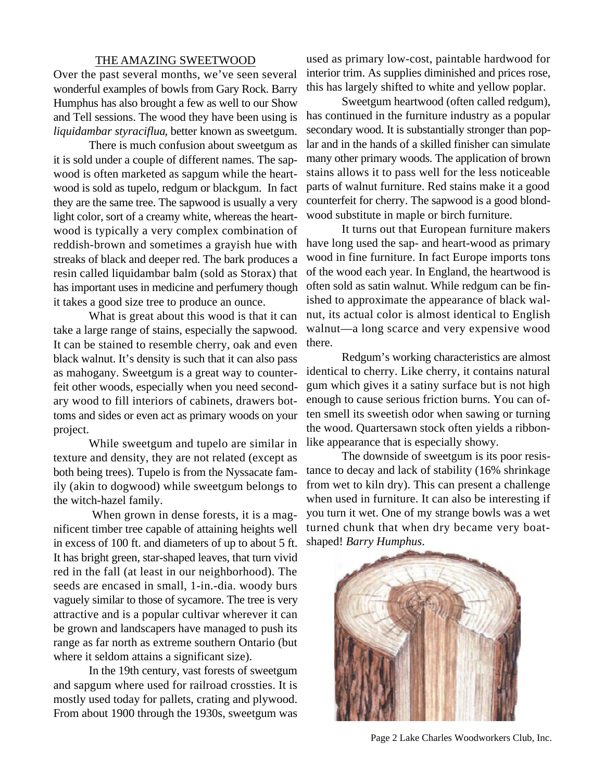## THE AMAZING SWEETWOOD

Over the past several months, we've seen several wonderful examples of bowls from Gary Rock. Barry Humphus has also brought a few as well to our Show and Tell sessions. The wood they have been using is *liquidambar styraciflua*, better known as sweetgum.

There is much confusion about sweetgum as it is sold under a couple of different names. The sapwood is often marketed as sapgum while the heartwood is sold as tupelo, redgum or blackgum. In fact they are the same tree. The sapwood is usually a very light color, sort of a creamy white, whereas the heartwood is typically a very complex combination of reddish-brown and sometimes a grayish hue with streaks of black and deeper red. The bark produces a resin called liquidambar balm (sold as Storax) that has important uses in medicine and perfumery though it takes a good size tree to produce an ounce.

What is great about this wood is that it can take a large range of stains, especially the sapwood. It can be stained to resemble cherry, oak and even black walnut. It's density is such that it can also pass as mahogany. Sweetgum is a great way to counterfeit other woods, especially when you need secondary wood to fill interiors of cabinets, drawers bottoms and sides or even act as primary woods on your project.

While sweetgum and tupelo are similar in texture and density, they are not related (except as both being trees). Tupelo is from the Nyssacate family (akin to dogwood) while sweetgum belongs to the witch-hazel family.

 When grown in dense forests, it is a magnificent timber tree capable of attaining heights well in excess of 100 ft. and diameters of up to about 5 ft. It has bright green, star-shaped leaves, that turn vivid red in the fall (at least in our neighborhood). The seeds are encased in small, 1-in.-dia. woody burs vaguely similar to those of sycamore. The tree is very attractive and is a popular cultivar wherever it can be grown and landscapers have managed to push its range as far north as extreme southern Ontario (but where it seldom attains a significant size).

In the 19th century, vast forests of sweetgum and sapgum where used for railroad crossties. It is mostly used today for pallets, crating and plywood. From about 1900 through the 1930s, sweetgum was

used as primary low-cost, paintable hardwood for interior trim. As supplies diminished and prices rose, this has largely shifted to white and yellow poplar.

Sweetgum heartwood (often called redgum), has continued in the furniture industry as a popular secondary wood. It is substantially stronger than poplar and in the hands of a skilled finisher can simulate many other primary woods. The application of brown stains allows it to pass well for the less noticeable parts of walnut furniture. Red stains make it a good counterfeit for cherry. The sapwood is a good blondwood substitute in maple or birch furniture.

It turns out that European furniture makers have long used the sap- and heart-wood as primary wood in fine furniture. In fact Europe imports tons of the wood each year. In England, the heartwood is often sold as satin walnut. While redgum can be finished to approximate the appearance of black walnut, its actual color is almost identical to English walnut—a long scarce and very expensive wood there.

Redgum's working characteristics are almost identical to cherry. Like cherry, it contains natural gum which gives it a satiny surface but is not high enough to cause serious friction burns. You can often smell its sweetish odor when sawing or turning the wood. Quartersawn stock often yields a ribbonlike appearance that is especially showy.

The downside of sweetgum is its poor resistance to decay and lack of stability (16% shrinkage from wet to kiln dry). This can present a challenge when used in furniture. It can also be interesting if you turn it wet. One of my strange bowls was a wet turned chunk that when dry became very boatshaped! *Barry Humphus*.



Page 2 Lake Charles Woodworkers Club, Inc.